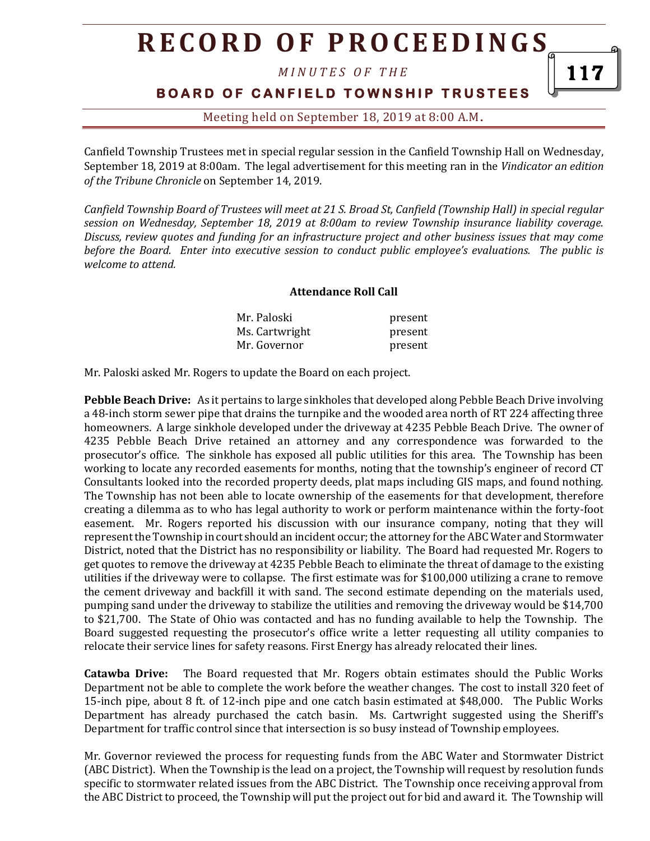*M I N U T E S O F T H E* 

### **BOARD OF CANFIELD TOWNSHIP TRUSTEES**

### Meeting held on September 18, 2019 at 8:00 A.M**.**

Canfield Township Trustees met in special regular session in the Canfield Township Hall on Wednesday, September 18, 2019 at 8:00am. The legal advertisement for this meeting ran in the *Vindicator an edition of the Tribune Chronicle* on September 14, 2019.

*Canfield Township Board of Trustees will meet at 21 S. Broad St, Canfield (Township Hall) in special regular session on Wednesday, September 18, 2019 at 8:00am to review Township insurance liability coverage. Discuss, review quotes and funding for an infrastructure project and other business issues that may come before the Board. Enter into executive session to conduct public employee's evaluations. The public is welcome to attend.*

#### **Attendance Roll Call**

| Mr. Paloski    | present |
|----------------|---------|
| Ms. Cartwright | present |
| Mr. Governor   | present |

Mr. Paloski asked Mr. Rogers to update the Board on each project.

**Pebble Beach Drive:** As it pertains to large sinkholes that developed along Pebble Beach Drive involving a 48-inch storm sewer pipe that drains the turnpike and the wooded area north of RT 224 affecting three homeowners. A large sinkhole developed under the driveway at 4235 Pebble Beach Drive. The owner of 4235 Pebble Beach Drive retained an attorney and any correspondence was forwarded to the prosecutor's office. The sinkhole has exposed all public utilities for this area. The Township has been working to locate any recorded easements for months, noting that the township's engineer of record CT Consultants looked into the recorded property deeds, plat maps including GIS maps, and found nothing. The Township has not been able to locate ownership of the easements for that development, therefore creating a dilemma as to who has legal authority to work or perform maintenance within the forty-foot easement. Mr. Rogers reported his discussion with our insurance company, noting that they will represent the Township in court should an incident occur; the attorney for the ABC Water and Stormwater District, noted that the District has no responsibility or liability. The Board had requested Mr. Rogers to get quotes to remove the driveway at 4235 Pebble Beach to eliminate the threat of damage to the existing utilities if the driveway were to collapse. The first estimate was for \$100,000 utilizing a crane to remove the cement driveway and backfill it with sand. The second estimate depending on the materials used, pumping sand under the driveway to stabilize the utilities and removing the driveway would be \$14,700 to \$21,700. The State of Ohio was contacted and has no funding available to help the Township. The Board suggested requesting the prosecutor's office write a letter requesting all utility companies to relocate their service lines for safety reasons. First Energy has already relocated their lines.

**Catawba Drive:** The Board requested that Mr. Rogers obtain estimates should the Public Works Department not be able to complete the work before the weather changes. The cost to install 320 feet of 15-inch pipe, about 8 ft. of 12-inch pipe and one catch basin estimated at \$48,000. The Public Works Department has already purchased the catch basin. Ms. Cartwright suggested using the Sheriff's Department for traffic control since that intersection is so busy instead of Township employees.

Mr. Governor reviewed the process for requesting funds from the ABC Water and Stormwater District (ABC District). When the Township is the lead on a project, the Township will request by resolution funds specific to stormwater related issues from the ABC District. The Township once receiving approval from the ABC District to proceed, the Township will put the project out for bid and award it. The Township will

117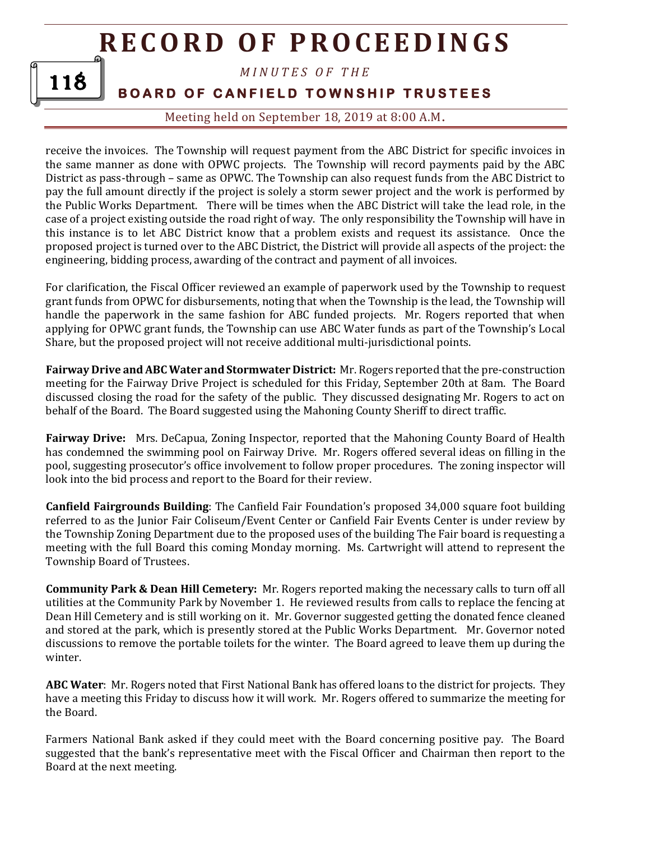*M I N U T E S O F T H E* 

**BOARD OF CANFIELD TOWNSHIP TRUSTEES** 

118

Meeting held on September 18, 2019 at 8:00 A.M**.**

receive the invoices. The Township will request payment from the ABC District for specific invoices in the same manner as done with OPWC projects. The Township will record payments paid by the ABC District as pass-through – same as OPWC. The Township can also request funds from the ABC District to pay the full amount directly if the project is solely a storm sewer project and the work is performed by the Public Works Department. There will be times when the ABC District will take the lead role, in the case of a project existing outside the road right of way. The only responsibility the Township will have in this instance is to let ABC District know that a problem exists and request its assistance. Once the proposed project is turned over to the ABC District, the District will provide all aspects of the project: the engineering, bidding process, awarding of the contract and payment of all invoices.

For clarification, the Fiscal Officer reviewed an example of paperwork used by the Township to request grant funds from OPWC for disbursements, noting that when the Township is the lead, the Township will handle the paperwork in the same fashion for ABC funded projects. Mr. Rogers reported that when applying for OPWC grant funds, the Township can use ABC Water funds as part of the Township's Local Share, but the proposed project will not receive additional multi-jurisdictional points.

**Fairway Drive and ABC Water and Stormwater District:** Mr. Rogers reported that the pre-construction meeting for the Fairway Drive Project is scheduled for this Friday, September 20th at 8am. The Board discussed closing the road for the safety of the public. They discussed designating Mr. Rogers to act on behalf of the Board. The Board suggested using the Mahoning County Sheriff to direct traffic.

**Fairway Drive:** Mrs. DeCapua, Zoning Inspector, reported that the Mahoning County Board of Health has condemned the swimming pool on Fairway Drive. Mr. Rogers offered several ideas on filling in the pool, suggesting prosecutor's office involvement to follow proper procedures. The zoning inspector will look into the bid process and report to the Board for their review.

**Canfield Fairgrounds Building**: The Canfield Fair Foundation's proposed 34,000 square foot building referred to as the Junior Fair Coliseum/Event Center or Canfield Fair Events Center is under review by the Township Zoning Department due to the proposed uses of the building The Fair board is requesting a meeting with the full Board this coming Monday morning. Ms. Cartwright will attend to represent the Township Board of Trustees.

**Community Park & Dean Hill Cemetery:** Mr. Rogers reported making the necessary calls to turn off all utilities at the Community Park by November 1. He reviewed results from calls to replace the fencing at Dean Hill Cemetery and is still working on it. Mr. Governor suggested getting the donated fence cleaned and stored at the park, which is presently stored at the Public Works Department. Mr. Governor noted discussions to remove the portable toilets for the winter. The Board agreed to leave them up during the winter.

**ABC Water**: Mr. Rogers noted that First National Bank has offered loans to the district for projects. They have a meeting this Friday to discuss how it will work. Mr. Rogers offered to summarize the meeting for the Board.

Farmers National Bank asked if they could meet with the Board concerning positive pay. The Board suggested that the bank's representative meet with the Fiscal Officer and Chairman then report to the Board at the next meeting.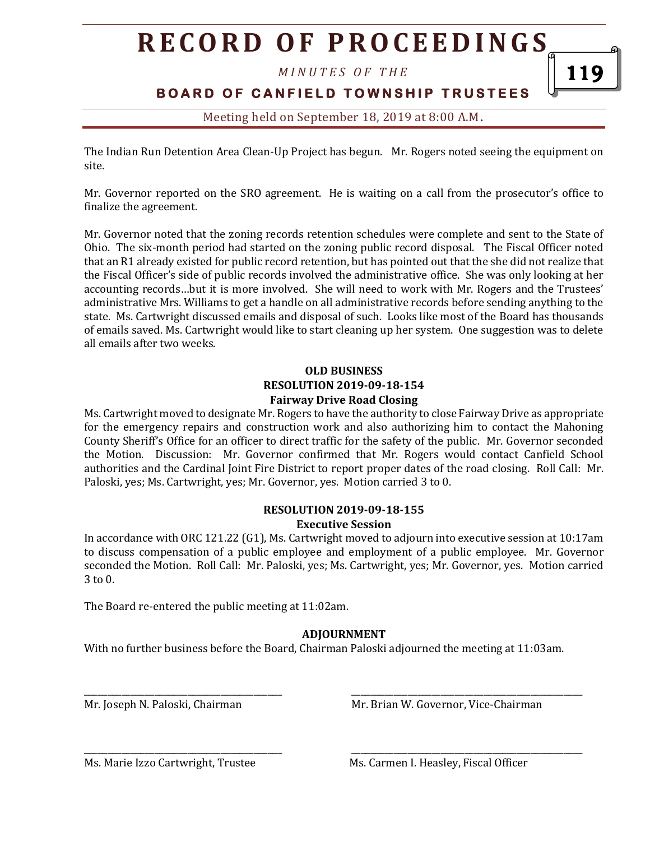*M I N U T E S O F T H E* 

### **BOARD OF CANFIELD TOWNSHIP TRUSTEES**

Meeting held on September 18, 2019 at 8:00 A.M**.**

The Indian Run Detention Area Clean-Up Project has begun. Mr. Rogers noted seeing the equipment on site.

Mr. Governor reported on the SRO agreement. He is waiting on a call from the prosecutor's office to finalize the agreement.

Mr. Governor noted that the zoning records retention schedules were complete and sent to the State of Ohio. The six-month period had started on the zoning public record disposal. The Fiscal Officer noted that an R1 already existed for public record retention, but has pointed out that the she did not realize that the Fiscal Officer's side of public records involved the administrative office. She was only looking at her accounting records…but it is more involved. She will need to work with Mr. Rogers and the Trustees' administrative Mrs. Williams to get a handle on all administrative records before sending anything to the state. Ms. Cartwright discussed emails and disposal of such. Looks like most of the Board has thousands of emails saved. Ms. Cartwright would like to start cleaning up her system. One suggestion was to delete all emails after two weeks.

#### **OLD BUSINESS RESOLUTION 2019-09-18-154 Fairway Drive Road Closing**

Ms. Cartwright moved to designate Mr. Rogers to have the authority to close Fairway Drive as appropriate for the emergency repairs and construction work and also authorizing him to contact the Mahoning County Sheriff's Office for an officer to direct traffic for the safety of the public. Mr. Governor seconded the Motion. Discussion: Mr. Governor confirmed that Mr. Rogers would contact Canfield School authorities and the Cardinal Joint Fire District to report proper dates of the road closing. Roll Call: Mr. Paloski, yes; Ms. Cartwright, yes; Mr. Governor, yes. Motion carried 3 to 0.

#### **RESOLUTION 2019-09-18-155 Executive Session**

In accordance with ORC 121.22 (G1), Ms. Cartwright moved to adjourn into executive session at 10:17am to discuss compensation of a public employee and employment of a public employee. Mr. Governor seconded the Motion. Roll Call: Mr. Paloski, yes; Ms. Cartwright, yes; Mr. Governor, yes. Motion carried 3 to 0.

The Board re-entered the public meeting at 11:02am.

### **ADJOURNMENT**

With no further business before the Board, Chairman Paloski adjourned the meeting at 11:03am.

\_\_\_\_\_\_\_\_\_\_\_\_\_\_\_\_\_\_\_\_\_\_\_\_\_\_\_\_\_\_\_\_\_\_\_\_\_\_\_\_\_\_ \_\_\_\_\_\_\_\_\_\_\_\_\_\_\_\_\_\_\_\_\_\_\_\_\_\_\_\_\_\_\_\_\_\_\_\_\_\_\_\_\_\_\_\_\_\_\_\_\_

Mr. Joseph N. Paloski, Chairman Museum Mr. Brian W. Governor, Vice-Chairman

 $\overline{\phantom{a}}$  , and the contract of the contract of the contract of the contract of the contract of the contract of the contract of the contract of the contract of the contract of the contract of the contract of the contrac

119